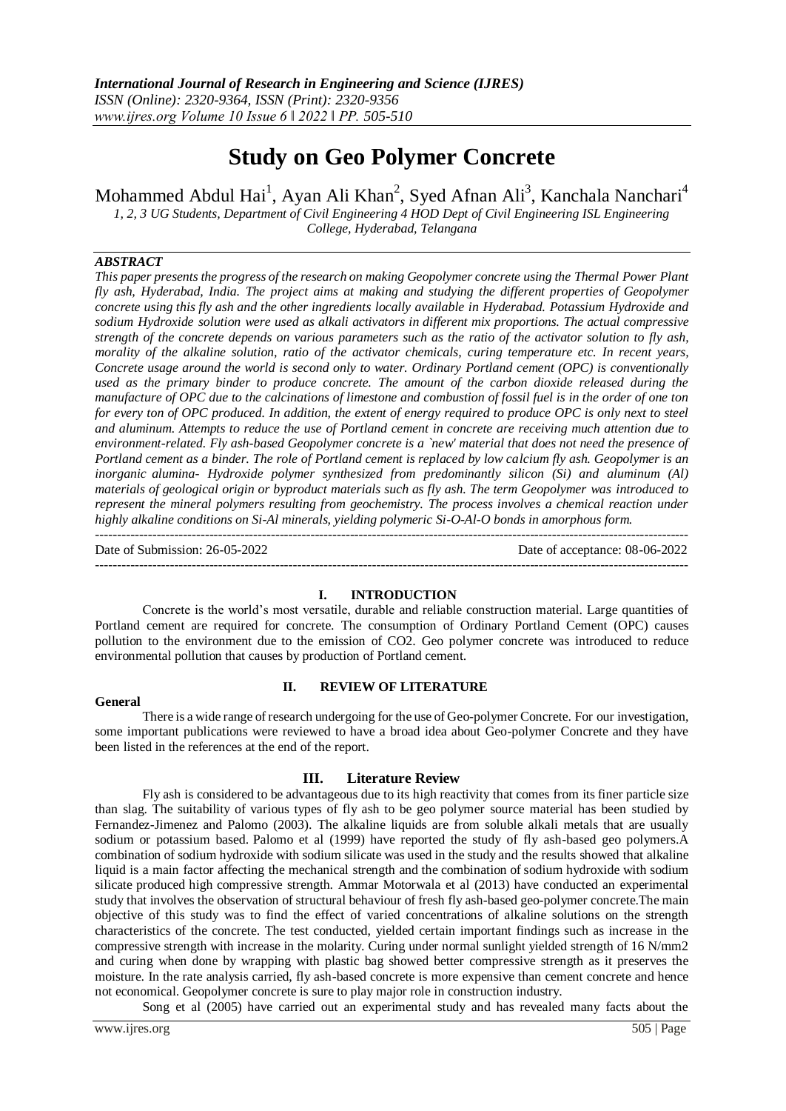# **Study on Geo Polymer Concrete**

Mohammed Abdul Hai<sup>1</sup>, Ayan Ali Khan<sup>2</sup>, Syed Afnan Ali<sup>3</sup>, Kanchala Nanchari<sup>4</sup>

*1, 2, 3 UG Students, Department of Civil Engineering 4 HOD Dept of Civil Engineering ISL Engineering College, Hyderabad, Telangana*

## *ABSTRACT*

*This paper presents the progress of the research on making Geopolymer concrete using the Thermal Power Plant fly ash, Hyderabad, India. The project aims at making and studying the different properties of Geopolymer concrete using this fly ash and the other ingredients locally available in Hyderabad. Potassium Hydroxide and sodium Hydroxide solution were used as alkali activators in different mix proportions. The actual compressive strength of the concrete depends on various parameters such as the ratio of the activator solution to fly ash, morality of the alkaline solution, ratio of the activator chemicals, curing temperature etc. In recent years, Concrete usage around the world is second only to water. Ordinary Portland cement (OPC) is conventionally used as the primary binder to produce concrete. The amount of the carbon dioxide released during the manufacture of OPC due to the calcinations of limestone and combustion of fossil fuel is in the order of one ton for every ton of OPC produced. In addition, the extent of energy required to produce OPC is only next to steel and aluminum. Attempts to reduce the use of Portland cement in concrete are receiving much attention due to environment-related. Fly ash-based Geopolymer concrete is a `new' material that does not need the presence of Portland cement as a binder. The role of Portland cement is replaced by low calcium fly ash. Geopolymer is an inorganic alumina- Hydroxide polymer synthesized from predominantly silicon (Si) and aluminum (Al) materials of geological origin or byproduct materials such as fly ash. The term Geopolymer was introduced to represent the mineral polymers resulting from geochemistry. The process involves a chemical reaction under highly alkaline conditions on Si-Al minerals, yielding polymeric Si-O-Al-O bonds in amorphous form.*

Date of Submission: 26-05-2022 Date of acceptance: 08-06-2022 ---------------------------------------------------------------------------------------------------------------------------------------

---------------------------------------------------------------------------------------------------------------------------------------

#### **I. INTRODUCTION**

Concrete is the world's most versatile, durable and reliable construction material. Large quantities of Portland cement are required for concrete. The consumption of Ordinary Portland Cement (OPC) causes pollution to the environment due to the emission of CO2. Geo polymer concrete was introduced to reduce environmental pollution that causes by production of Portland cement.

#### **General**

## **II. REVIEW OF LITERATURE**

There is a wide range of research undergoing for the use of Geo-polymer Concrete. For our investigation, some important publications were reviewed to have a broad idea about Geo-polymer Concrete and they have been listed in the references at the end of the report.

## **III. Literature Review**

Fly ash is considered to be advantageous due to its high reactivity that comes from its finer particle size than slag. The suitability of various types of fly ash to be geo polymer source material has been studied by Fernandez-Jimenez and Palomo (2003). The alkaline liquids are from soluble alkali metals that are usually sodium or potassium based. Palomo et al (1999) have reported the study of fly ash-based geo polymers.A combination of sodium hydroxide with sodium silicate was used in the study and the results showed that alkaline liquid is a main factor affecting the mechanical strength and the combination of sodium hydroxide with sodium silicate produced high compressive strength. Ammar Motorwala et al (2013) have conducted an experimental study that involves the observation of structural behaviour of fresh fly ash-based geo-polymer concrete.The main objective of this study was to find the effect of varied concentrations of alkaline solutions on the strength characteristics of the concrete. The test conducted, yielded certain important findings such as increase in the compressive strength with increase in the molarity. Curing under normal sunlight yielded strength of 16 N/mm2 and curing when done by wrapping with plastic bag showed better compressive strength as it preserves the moisture. In the rate analysis carried, fly ash-based concrete is more expensive than cement concrete and hence not economical. Geopolymer concrete is sure to play major role in construction industry.

Song et al (2005) have carried out an experimental study and has revealed many facts about the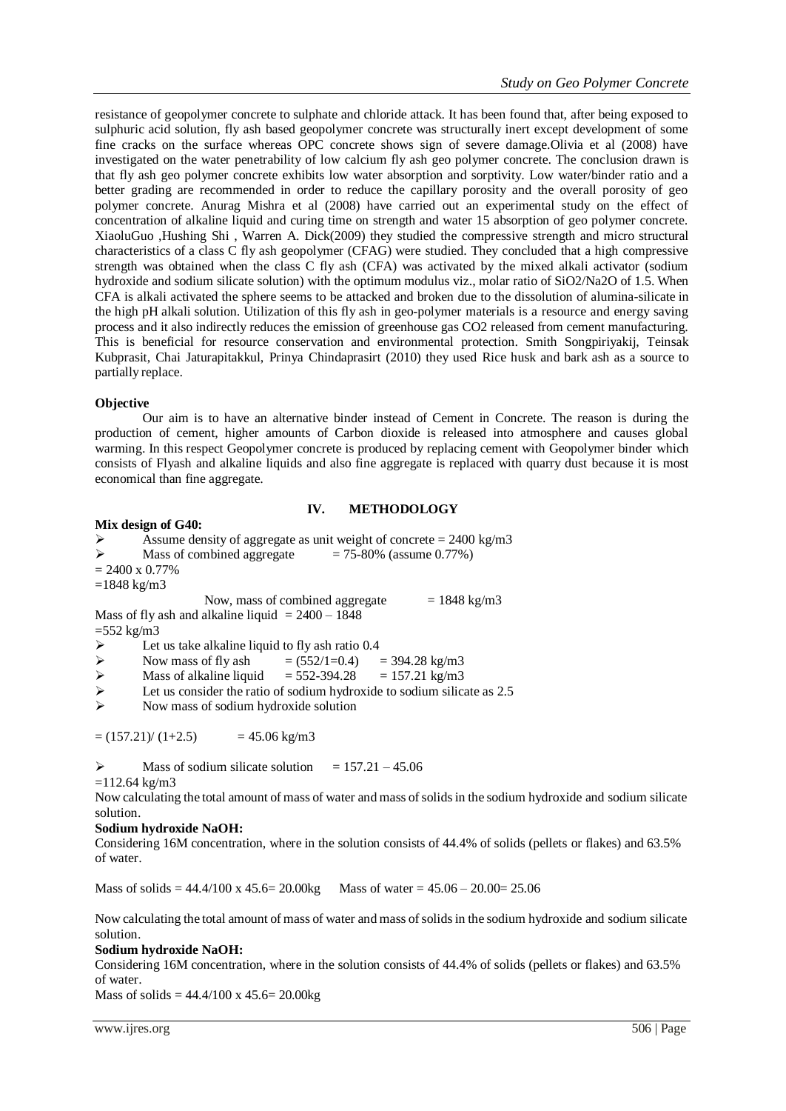resistance of geopolymer concrete to sulphate and chloride attack. It has been found that, after being exposed to sulphuric acid solution, fly ash based geopolymer concrete was structurally inert except development of some fine cracks on the surface whereas OPC concrete shows sign of severe damage.Olivia et al (2008) have investigated on the water penetrability of low calcium fly ash geo polymer concrete. The conclusion drawn is that fly ash geo polymer concrete exhibits low water absorption and sorptivity. Low water/binder ratio and a better grading are recommended in order to reduce the capillary porosity and the overall porosity of geo polymer concrete. Anurag Mishra et al (2008) have carried out an experimental study on the effect of concentration of alkaline liquid and curing time on strength and water 15 absorption of geo polymer concrete. XiaoluGuo ,Hushing Shi , Warren A. Dick(2009) they studied the compressive strength and micro structural characteristics of a class C fly ash geopolymer (CFAG) were studied. They concluded that a high compressive strength was obtained when the class C fly ash (CFA) was activated by the mixed alkali activator (sodium hydroxide and sodium silicate solution) with the optimum modulus viz., molar ratio of SiO2/Na2O of 1.5. When CFA is alkali activated the sphere seems to be attacked and broken due to the dissolution of alumina-silicate in the high pH alkali solution. Utilization of this fly ash in geo-polymer materials is a resource and energy saving process and it also indirectly reduces the emission of greenhouse gas CO2 released from cement manufacturing. This is beneficial for resource conservation and environmental protection. Smith Songpiriyakij, Teinsak Kubprasit, Chai Jaturapitakkul, Prinya Chindaprasirt (2010) they used Rice husk and bark ash as a source to partially replace.

## **Objective**

Our aim is to have an alternative binder instead of Cement in Concrete. The reason is during the production of cement, higher amounts of Carbon dioxide is released into atmosphere and causes global warming. In this respect Geopolymer concrete is produced by replacing cement with Geopolymer binder which consists of Flyash and alkaline liquids and also fine aggregate is replaced with quarry dust because it is most economical than fine aggregate.

## **IV. METHODOLOGY**

#### **Mix design of G40:**

```
\triangleright Assume density of aggregate as unit weight of concrete = 2400 kg/m3
```

$$
\triangleright
$$
 Mass of combined aggregate = 75-80% (assume 0.77%)

 $= 2400 \times 0.77\%$ 

 $=1848 \text{ kg/m}$ 3

Now, mass of combined aggregate  $= 1848 \text{ kg/m}3$ Mass of fly ash and alkaline liquid  $= 2400 - 1848$ 

 $=552$  kg/m3

- $\blacktriangleright$  Let us take alkaline liquid to fly ash ratio 0.4
- 
- Now mass of fly ash =  $(552/1=0.4)$  = 394.28 kg/m3<br>
Mass of alkaline liquid =  $552-394.28$  =  $157.21$  kg/m3 Mass of alkaline liquid  $= 552-394.28 = 157.21 \text{ kg/m}^3$
- Executive Let us consider the ratio of sodium hydroxide to sodium silicate as 2.5

 $\triangleright$  Now mass of sodium hydroxide solution

 $=(157.21)/(1+2.5)$  = 45.06 kg/m3

 $\triangleright$  Mass of sodium silicate solution = 157.21 – 45.06  $=112.64$  kg/m3

Now calculating the total amount of mass of water and mass ofsolidsin the sodium hydroxide and sodium silicate solution.

## **Sodium hydroxide NaOH:**

Considering 16M concentration, where in the solution consists of 44.4% of solids (pellets or flakes) and 63.5% of water.

Mass of solids =  $44.4/100 \times 45.6 = 20.00$ kg Mass of water =  $45.06 - 20.00 = 25.06$ 

Now calculating the total amount of mass of water and mass ofsolidsin the sodium hydroxide and sodium silicate solution.

## **Sodium hydroxide NaOH:**

Considering 16M concentration, where in the solution consists of 44.4% of solids (pellets or flakes) and 63.5% of water.

Mass of solids =  $44.4/100 \text{ x } 45.6 = 20.00 \text{kg}$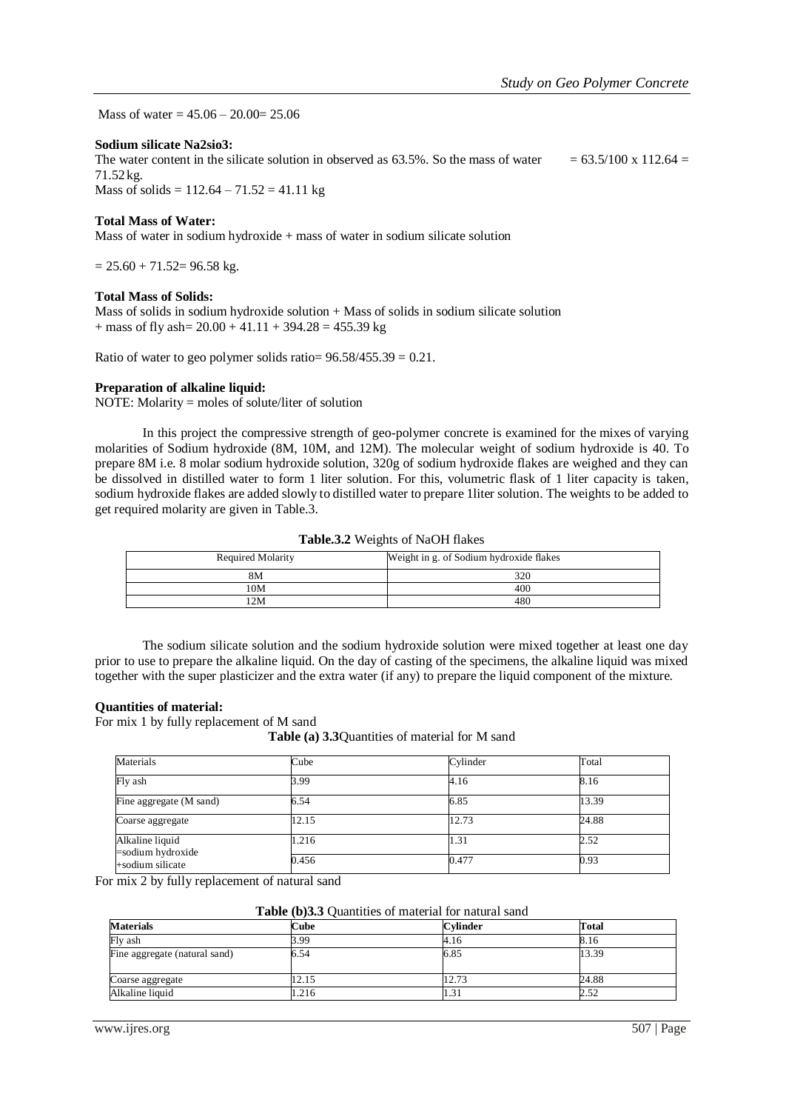Mass of water =  $45.06 - 20.00 = 25.06$ 

#### **Sodium silicate Na2sio3:**

The water content in the silicate solution in observed as 63.5%. So the mass of water  $= 63.5/100 \times 112.64 =$ 71.52kg.

Mass of solids =  $112.64 - 71.52 = 41.11$  kg

#### **Total Mass of Water:**

Mass of water in sodium hydroxide  $+$  mass of water in sodium silicate solution

 $= 25.60 + 71.52 = 96.58$  kg.

#### **Total Mass of Solids:**

Mass of solids in sodium hydroxide solution + Mass of solids in sodium silicate solution + mass of fly ash=  $20.00 + 41.11 + 394.28 = 455.39$  kg

Ratio of water to geo polymer solids ratio=  $96.58/455.39 = 0.21$ .

## **Preparation of alkaline liquid:**

NOTE: Molarity = moles of solute/liter of solution

In this project the compressive strength of geo-polymer concrete is examined for the mixes of varying molarities of Sodium hydroxide (8M, 10M, and 12M). The molecular weight of sodium hydroxide is 40. To prepare 8M i.e. 8 molar sodium hydroxide solution, 320g of sodium hydroxide flakes are weighed and they can be dissolved in distilled water to form 1 liter solution. For this, volumetric flask of 1 liter capacity is taken, sodium hydroxide flakes are added slowly to distilled water to prepare 1liter solution. The weights to be added to get required molarity are given in Table.3.

**Table.3.2** Weights of NaOH flakes

| <b>Required Molarity</b> | Weight in g. of Sodium hydroxide flakes |
|--------------------------|-----------------------------------------|
| 8Μ                       | 320                                     |
| 10M                      | 400                                     |
| 2M                       | 480                                     |

The sodium silicate solution and the sodium hydroxide solution were mixed together at least one day prior to use to prepare the alkaline liquid. On the day of casting of the specimens, the alkaline liquid was mixed together with the super plasticizer and the extra water (if any) to prepare the liquid component of the mixture.

## **Quantities of material:**

For mix 1 by fully replacement of M sand

**Table (a) 3.3**Quantities of material for M sand

| Materials                               | Cube  | Cylinder | Total |
|-----------------------------------------|-------|----------|-------|
| Fly ash                                 | 3.99  | 4.16     | 8.16  |
| Fine aggregate (M sand)                 | 6.54  | 6.85     | 13.39 |
| Coarse aggregate                        | 12.15 | 12.73    | 24.88 |
| Alkaline liquid<br>$=$ sodium hydroxide | 1.216 | 1.31     | 2.52  |
| +sodium silicate                        | 0.456 | 0.477    | 0.93  |

For mix 2 by fully replacement of natural sand

| Table (b)3.3 Quantities of material for natural sand |  |
|------------------------------------------------------|--|
|                                                      |  |

| <b>Materials</b>              | <b>Cube</b> | <b>Cvlinder</b> | Total |
|-------------------------------|-------------|-----------------|-------|
| Fly ash                       | 3.99        | 4.16            | 8.16  |
| Fine aggregate (natural sand) | 6.54        | 6.85            | 13.39 |
| Coarse aggregate              | 12.15       | 12.73           | 24.88 |
| Alkaline liquid               | 1.216       | ا د. ۱          | 2.52  |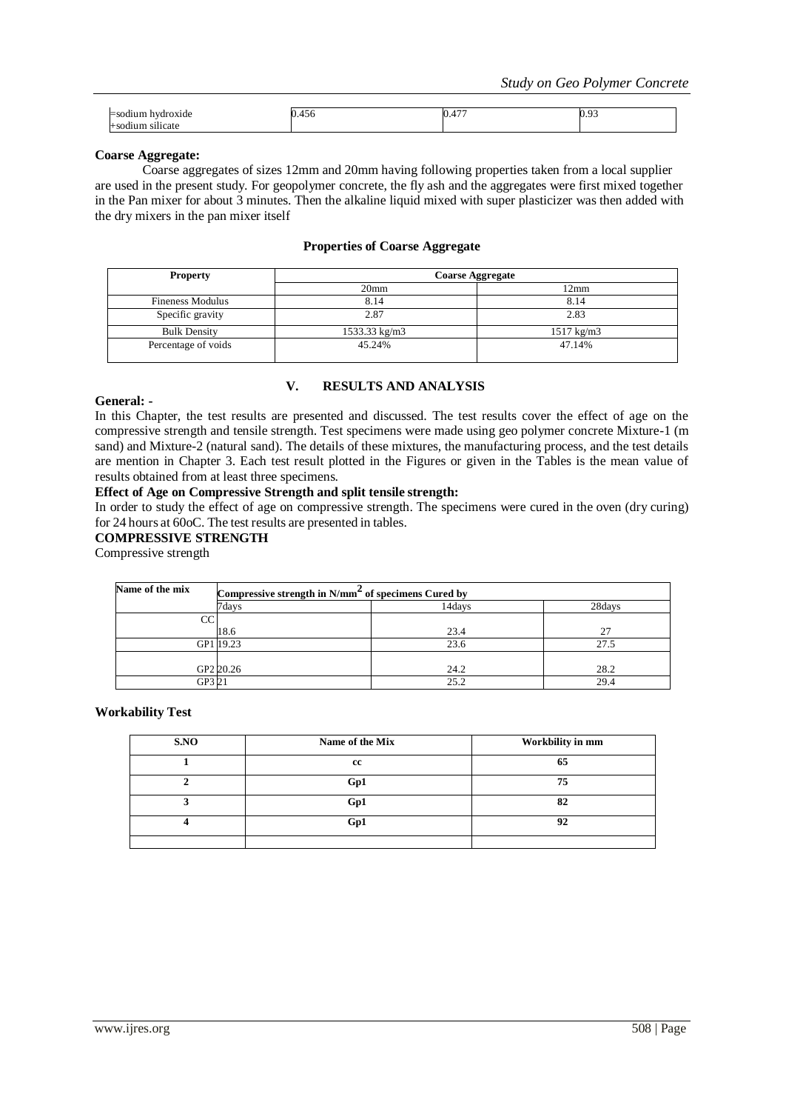| hydroxide                                 | $\sim$<br>400 | $- -$<br>v., | $\sim$<br>◡.ノ◡ |
|-------------------------------------------|---------------|--------------|----------------|
| $\sim$ $\sim$ $\sim$<br>:licate<br>$\sim$ |               |              |                |

#### **Coarse Aggregate:**

Coarse aggregates of sizes 12mm and 20mm having following properties taken from a local supplier are used in the present study. For geopolymer concrete, the fly ash and the aggregates were first mixed together in the Pan mixer for about 3 minutes. Then the alkaline liquid mixed with super plasticizer was then added with the dry mixers in the pan mixer itself

#### **Properties of Coarse Aggregate**

| <b>Property</b>         | <b>Coarse Aggregate</b> |                       |  |
|-------------------------|-------------------------|-----------------------|--|
|                         | 20 <sub>mm</sub>        | 12mm                  |  |
| <b>Fineness Modulus</b> | 8.14                    | 8.14                  |  |
| Specific gravity        | 2.87                    | 2.83                  |  |
| <b>Bulk Density</b>     | 1533.33 kg/m3           | $1517 \text{ kg/m}$ 3 |  |
| Percentage of voids     | 45.24%                  | 47.14%                |  |

#### **V. RESULTS AND ANALYSIS**

## **General: -**

In this Chapter, the test results are presented and discussed. The test results cover the effect of age on the compressive strength and tensile strength. Test specimens were made using geo polymer concrete Mixture-1 (m sand) and Mixture-2 (natural sand). The details of these mixtures, the manufacturing process, and the test details are mention in Chapter 3. Each test result plotted in the Figures or given in the Tables is the mean value of results obtained from at least three specimens.

#### **Effect of Age on Compressive Strength and split tensile strength:**

In order to study the effect of age on compressive strength. The specimens were cured in the oven (dry curing) for 24 hours at 60oC. The test results are presented in tables.

## **COMPRESSIVE STRENGTH**

Compressive strength

| Name of the mix | Compressive strength in $N/mm2$ of specimens Cured by |        |        |
|-----------------|-------------------------------------------------------|--------|--------|
|                 | 7days                                                 | 14davs | 28days |
| CС              |                                                       |        |        |
|                 | 18.6                                                  | 23.4   | 27     |
|                 | GP1 19.23                                             | 23.6   | 27.5   |
|                 |                                                       |        |        |
|                 | GP2 20.26                                             | 24.2   | 28.2   |
|                 | GP3 2                                                 | 25.2   | 29.4   |

#### **Workability Test**

| S.NO | Name of the Mix | Workbility in mm |
|------|-----------------|------------------|
|      | cc              | 65               |
|      | Gp1             | 75               |
|      | Gp1             | 82               |
|      | Gp1             | 92               |
|      |                 |                  |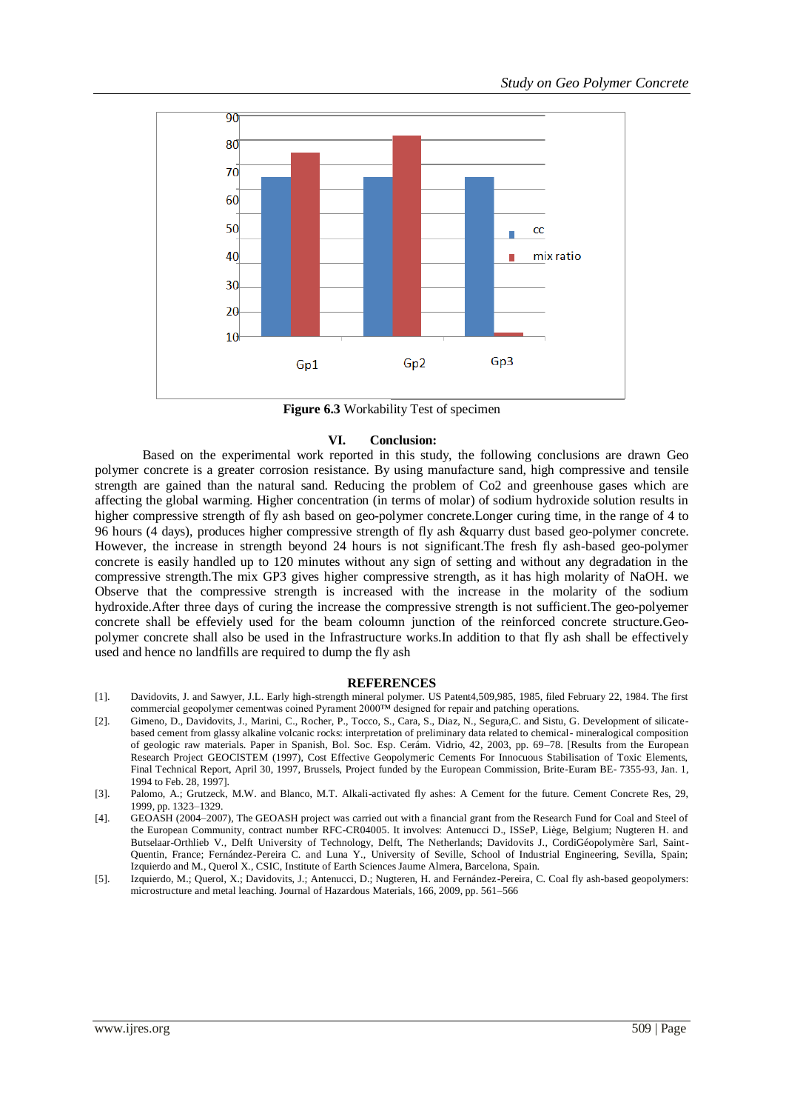

**Figure 6.3** Workability Test of specimen

#### **VI. Conclusion:**

Based on the experimental work reported in this study, the following conclusions are drawn Geo polymer concrete is a greater corrosion resistance. By using manufacture sand, high compressive and tensile strength are gained than the natural sand. Reducing the problem of Co2 and greenhouse gases which are affecting the global warming. Higher concentration (in terms of molar) of sodium hydroxide solution results in higher compressive strength of fly ash based on geo-polymer concrete.Longer curing time, in the range of 4 to 96 hours (4 days), produces higher compressive strength of fly ash &quarry dust based geo-polymer concrete. However, the increase in strength beyond 24 hours is not significant.The fresh fly ash-based geo-polymer concrete is easily handled up to 120 minutes without any sign of setting and without any degradation in the compressive strength.The mix GP3 gives higher compressive strength, as it has high molarity of NaOH. we Observe that the compressive strength is increased with the increase in the molarity of the sodium hydroxide.After three days of curing the increase the compressive strength is not sufficient.The geo-polyemer concrete shall be effeviely used for the beam coloumn junction of the reinforced concrete structure.Geopolymer concrete shall also be used in the Infrastructure works.In addition to that fly ash shall be effectively used and hence no landfills are required to dump the fly ash

#### **REFERENCES**

- [1]. Davidovits, J. and Sawyer, J.L. Early high-strength mineral polymer. US Patent4,509,985, 1985, filed February 22, 1984. The first commercial geopolymer cementwas coined Pyrament 2000™ designed for repair and patching operations.
- [2]. Gimeno, D., Davidovits, J., Marini, C., Rocher, P., Tocco, S., Cara, S., Diaz, N., Segura,C. and Sistu, G. Development of silicatebased cement from glassy alkaline volcanic rocks: interpretation of preliminary data related to chemical- mineralogical composition of geologic raw materials. Paper in Spanish, Bol. Soc. Esp. Cerám. Vidrio, 42, 2003, pp. 69–78. [Results from the European Research Project GEOCISTEM (1997), Cost Effective Geopolymeric Cements For Innocuous Stabilisation of Toxic Elements, Final Technical Report, April 30, 1997, Brussels, Project funded by the European Commission, Brite-Euram BE- 7355-93, Jan. 1, 1994 to Feb. 28, 1997].
- [3]. Palomo, A.; Grutzeck, M.W. and Blanco, M.T. Alkali-activated fly ashes: A Cement for the future. Cement Concrete Res, 29, 1999, pp. 1323–1329.
- [4]. GEOASH (2004–2007), The GEOASH project was carried out with a financial grant from the Research Fund for Coal and Steel of the European Community, contract number RFC-CR04005. It involves: Antenucci D., ISSeP, Liège, Belgium; Nugteren H. and Butselaar-Orthlieb V., Delft University of Technology, Delft, The Netherlands; Davidovits J., CordiGéopolymère Sarl, Saint-Quentin, France; Fernández-Pereira C. and Luna Y., University of Seville, School of Industrial Engineering, Sevilla, Spain; Izquierdo and M., Querol X., CSIC, Institute of Earth Sciences Jaume Almera, Barcelona, Spain.
- [5]. Izquierdo, M.; Querol, X.; Davidovits, J.; Antenucci, D.; Nugteren, H. and Fernández-Pereira, C. Coal fly ash-based geopolymers: microstructure and metal leaching. Journal of Hazardous Materials, 166, 2009, pp. 561–566